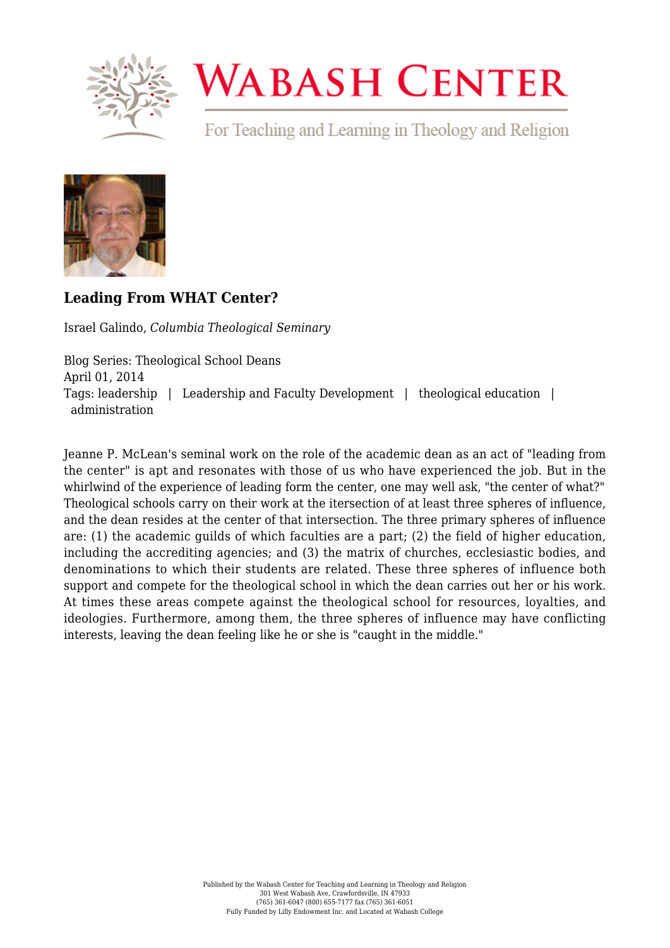

# **WABASH CENTER**

For Teaching and Learning in Theology and Religion



# **[Leading From WHAT Center?](https://www.wabashcenter.wabash.edu/2014/04/leading-from-what-center/)**

Israel Galindo, *Columbia Theological Seminary*

Blog Series: Theological School Deans April 01, 2014 Tags: leadership | Leadership and Faculty Development | theological education | administration

Jeanne P. McLean's seminal work on the role of the academic dean as an act of "leading from the center" is apt and resonates with those of us who have experienced the job. But in the whirlwind of the experience of leading form the center, one may well ask, "the center of what?" Theological schools carry on their work at the itersection of at least three spheres of influence, and the dean resides at the center of that intersection. The three primary spheres of influence are: (1) the academic guilds of which faculties are a part; (2) the field of higher education, including the accrediting agencies; and (3) the matrix of churches, ecclesiastic bodies, and denominations to which their students are related. These three spheres of influence both support and compete for the theological school in which the dean carries out her or his work. At times these areas compete against the theological school for resources, loyalties, and ideologies. Furthermore, among them, the three spheres of influence may have conflicting interests, leaving the dean feeling like he or she is "caught in the middle."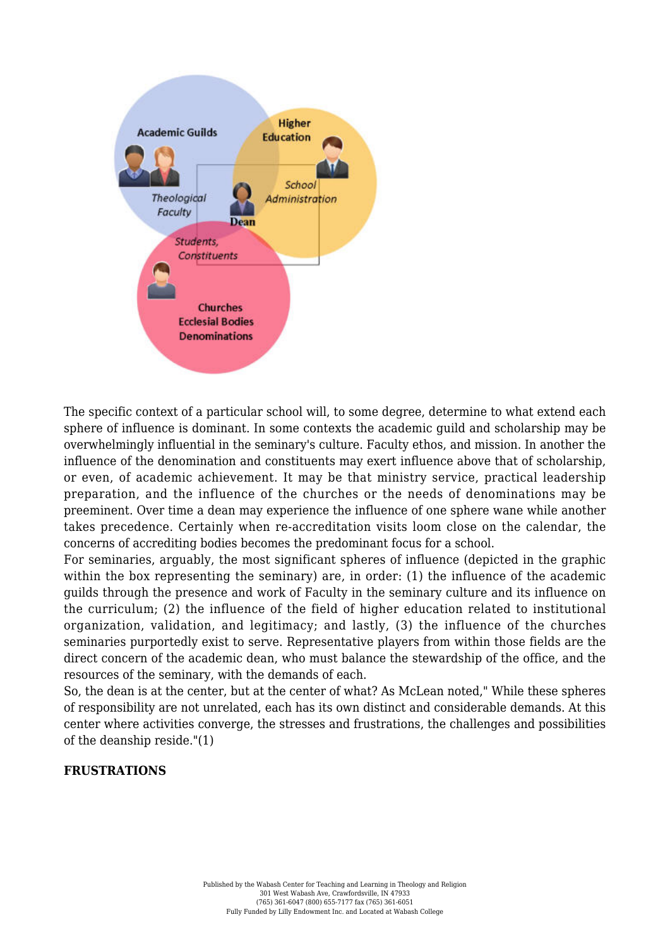

The specific context of a particular school will, to some degree, determine to what extend each sphere of influence is dominant. In some contexts the academic guild and scholarship may be overwhelmingly influential in the seminary's culture. Faculty ethos, and mission. In another the influence of the denomination and constituents may exert influence above that of scholarship, or even, of academic achievement. It may be that ministry service, practical leadership preparation, and the influence of the churches or the needs of denominations may be preeminent. Over time a dean may experience the influence of one sphere wane while another takes precedence. Certainly when re-accreditation visits loom close on the calendar, the concerns of accrediting bodies becomes the predominant focus for a school.

For seminaries, arguably, the most significant spheres of influence (depicted in the graphic within the box representing the seminary) are, in order: (1) the influence of the academic guilds through the presence and work of Faculty in the seminary culture and its influence on the curriculum; (2) the influence of the field of higher education related to institutional organization, validation, and legitimacy; and lastly, (3) the influence of the churches seminaries purportedly exist to serve. Representative players from within those fields are the direct concern of the academic dean, who must balance the stewardship of the office, and the resources of the seminary, with the demands of each.

So, the dean is at the center, but at the center of what? As McLean noted," While these spheres of responsibility are not unrelated, each has its own distinct and considerable demands. At this center where activities converge, the stresses and frustrations, the challenges and possibilities of the deanship reside."(1)

#### **FRUSTRATIONS**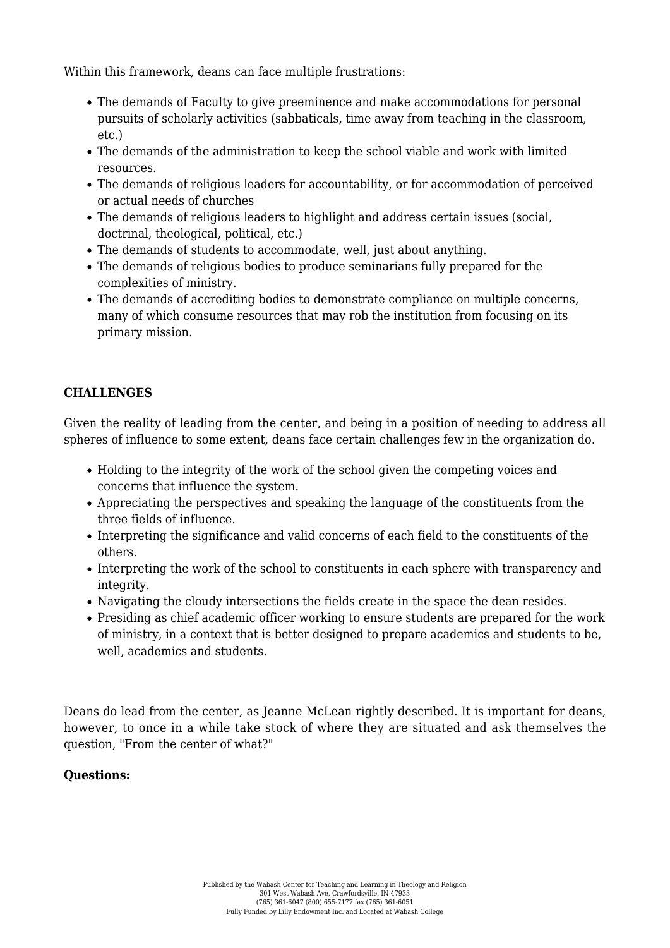Within this framework, deans can face multiple frustrations:

- The demands of Faculty to give preeminence and make accommodations for personal pursuits of scholarly activities (sabbaticals, time away from teaching in the classroom, etc.)
- The demands of the administration to keep the school viable and work with limited resources.
- The demands of religious leaders for accountability, or for accommodation of perceived or actual needs of churches
- The demands of religious leaders to highlight and address certain issues (social, doctrinal, theological, political, etc.)
- The demands of students to accommodate, well, just about anything.
- The demands of religious bodies to produce seminarians fully prepared for the complexities of ministry.
- The demands of accrediting bodies to demonstrate compliance on multiple concerns, many of which consume resources that may rob the institution from focusing on its primary mission.

## **CHALLENGES**

Given the reality of leading from the center, and being in a position of needing to address all spheres of influence to some extent, deans face certain challenges few in the organization do.

- Holding to the integrity of the work of the school given the competing voices and concerns that influence the system.
- Appreciating the perspectives and speaking the language of the constituents from the three fields of influence.
- Interpreting the significance and valid concerns of each field to the constituents of the others.
- Interpreting the work of the school to constituents in each sphere with transparency and integrity.
- Navigating the cloudy intersections the fields create in the space the dean resides.
- Presiding as chief academic officer working to ensure students are prepared for the work of ministry, in a context that is better designed to prepare academics and students to be, well, academics and students.

Deans do lead from the center, as Jeanne McLean rightly described. It is important for deans, however, to once in a while take stock of where they are situated and ask themselves the question, "From the center of what?"

## **Questions:**